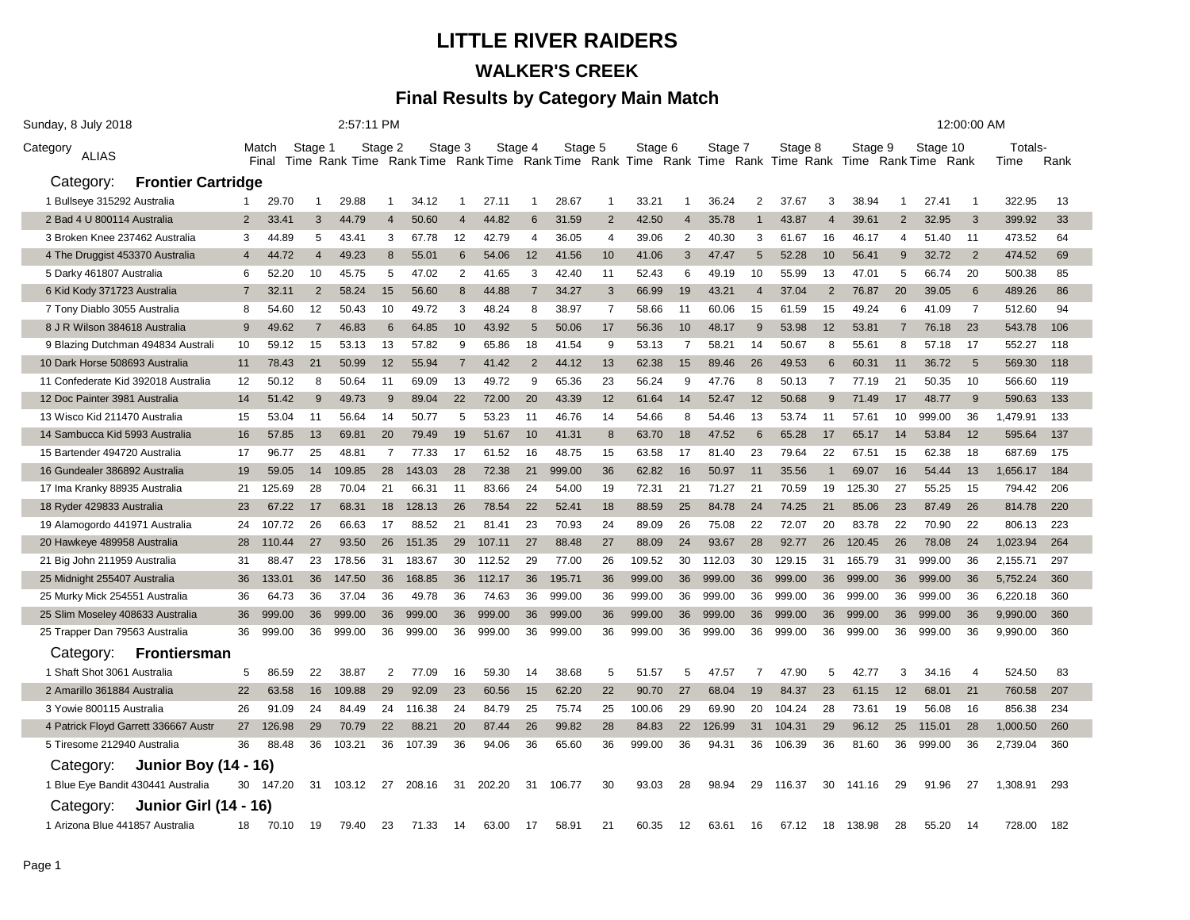## **LITTLE RIVER RAIDERS WALKER'S CREEK**

## **Final Results by Category Main Match**

| Sunday, 8 July 2018                  |                              | 2:57:11 PM     |        |                |        |                |        |                |         |                |         |                  |         |                |         |                |                                                                                                     |                |         |                |          | 12:00:00 AM    |          |      |
|--------------------------------------|------------------------------|----------------|--------|----------------|--------|----------------|--------|----------------|---------|----------------|---------|------------------|---------|----------------|---------|----------------|-----------------------------------------------------------------------------------------------------|----------------|---------|----------------|----------|----------------|----------|------|
| Category<br><b>ALIAS</b>             |                              | Match          |        | Stage 1        |        | Stage 2        |        | Stage 3        | Stage 4 |                | Stage 5 |                  | Stage 6 |                | Stage 7 |                | Stage 8                                                                                             |                | Stage 9 |                | Stage 10 |                | Totals-  |      |
|                                      |                              | Final          |        |                |        |                |        |                |         |                |         |                  |         |                |         |                | Time Rank Time Rank Time Rank Time Rank Time Rank Time Rank Time Rank Time Rank Time Rank Time Rank |                |         |                |          |                | Time     | Rank |
| Category:                            | <b>Frontier Cartridge</b>    |                |        |                |        |                |        |                |         |                |         |                  |         |                |         |                |                                                                                                     |                |         |                |          |                |          |      |
| 1 Bullseye 315292 Australia          |                              | -1             | 29.70  | $\overline{1}$ | 29.88  | -1             | 34.12  | 1              | 27.11   | -1             | 28.67   | $\overline{1}$   | 33.21   | -1             | 36.24   | $\overline{2}$ | 37.67                                                                                               | 3              | 38.94   | -1             | 27.41    | -1             | 322.95   | 13   |
| 2 Bad 4 U 800114 Australia           |                              | 2              | 33.41  | 3              | 44.79  | $\overline{4}$ | 50.60  | $\overline{4}$ | 44.82   | 6              | 31.59   | 2                | 42.50   | $\overline{4}$ | 35.78   | $\mathbf 1$    | 43.87                                                                                               | $\overline{4}$ | 39.61   | $\overline{2}$ | 32.95    | 3              | 399.92   | 33   |
| 3 Broken Knee 237462 Australia       |                              | 3              | 44.89  | 5              | 43.41  | 3              | 67.78  | 12             | 42.79   | 4              | 36.05   | $\overline{4}$   | 39.06   | 2              | 40.30   | 3              | 61.67                                                                                               | 16             | 46.17   | 4              | 51.40    | 11             | 473.52   | 64   |
| 4 The Druggist 453370 Australia      |                              | $\overline{4}$ | 44.72  | $\overline{4}$ | 49.23  | 8              | 55.01  | 6              | 54.06   | 12             | 41.56   | 10 <sup>10</sup> | 41.06   | 3              | 47.47   | $\overline{5}$ | 52.28                                                                                               | 10             | 56.41   | 9              | 32.72    | 2              | 474.52   | 69   |
| 5 Darky 461807 Australia             |                              | 6              | 52.20  | 10             | 45.75  | 5              | 47.02  | 2              | 41.65   | 3              | 42.40   | 11               | 52.43   | 6              | 49.19   | 10             | 55.99                                                                                               | 13             | 47.01   | 5              | 66.74    | 20             | 500.38   | 85   |
| 6 Kid Kody 371723 Australia          |                              | 7              | 32.11  | $\overline{2}$ | 58.24  | 15             | 56.60  | 8              | 44.88   |                | 34.27   | 3                | 66.99   | 19             | 43.21   | $\overline{4}$ | 37.04                                                                                               | $\overline{2}$ | 76.87   | 20             | 39.05    | 6              | 489.26   | 86   |
| 7 Tony Diablo 3055 Australia         |                              | 8              | 54.60  | 12             | 50.43  | 10             | 49.72  | 3              | 48.24   | 8              | 38.97   | $\overline{7}$   | 58.66   | 11             | 60.06   | 15             | 61.59                                                                                               | 15             | 49.24   | 6              | 41.09    | $\overline{7}$ | 512.60   | 94   |
| 8 J R Wilson 384618 Australia        |                              | 9              | 49.62  | $\overline{7}$ | 46.83  | 6              | 64.85  | 10             | 43.92   | $\overline{5}$ | 50.06   | 17               | 56.36   | 10             | 48.17   | 9              | 53.98                                                                                               | 12             | 53.81   | $\overline{7}$ | 76.18    | 23             | 543.78   | 106  |
| 9 Blazing Dutchman 494834 Australi   |                              | 10             | 59.12  | 15             | 53.13  | 13             | 57.82  | 9              | 65.86   | 18             | 41.54   | 9                | 53.13   | 7              | 58.21   | 14             | 50.67                                                                                               | 8              | 55.61   | 8              | 57.18    | 17             | 552.27   | 118  |
| 10 Dark Horse 508693 Australia       |                              | 11             | 78.43  | 21             | 50.99  | 12             | 55.94  | $\overline{7}$ | 41.42   | $\overline{2}$ | 44.12   | 13               | 62.38   | 15             | 89.46   | 26             | 49.53                                                                                               | 6              | 60.31   | 11             | 36.72    | 5              | 569.30   | 118  |
| 11 Confederate Kid 392018 Australia  |                              | 12             | 50.12  | 8              | 50.64  | 11             | 69.09  | 13             | 49.72   | 9              | 65.36   | 23               | 56.24   | 9              | 47.76   | 8              | 50.13                                                                                               | 7              | 77.19   | 21             | 50.35    | 10             | 566.60   | 119  |
| 12 Doc Painter 3981 Australia        |                              | 14             | 51.42  | 9              | 49.73  | 9              | 89.04  | 22             | 72.00   | 20             | 43.39   | 12               | 61.64   | 14             | 52.47   | 12             | 50.68                                                                                               | 9              | 71.49   | 17             | 48.77    | 9              | 590.63   | 133  |
| 13 Wisco Kid 211470 Australia        |                              | 15             | 53.04  | 11             | 56.64  | 14             | 50.77  | 5              | 53.23   | 11             | 46.76   | 14               | 54.66   | 8              | 54.46   | 13             | 53.74                                                                                               | 11             | 57.61   | 10             | 999.00   | 36             | 1,479.91 | 133  |
| 14 Sambucca Kid 5993 Australia       |                              | 16             | 57.85  | 13             | 69.81  | 20             | 79.49  | 19             | 51.67   | 10             | 41.31   | 8                | 63.70   | 18             | 47.52   | 6              | 65.28                                                                                               | -17            | 65.17   | 14             | 53.84    | 12             | 595.64   | 137  |
| 15 Bartender 494720 Australia        |                              | 17             | 96.77  | 25             | 48.81  | $\overline{7}$ | 77.33  | 17             | 61.52   | 16             | 48.75   | 15               | 63.58   | 17             | 81.40   | 23             | 79.64                                                                                               | 22             | 67.51   | 15             | 62.38    | 18             | 687.69   | 175  |
| 16 Gundealer 386892 Australia        |                              | 19             | 59.05  | 14             | 109.85 | 28             | 143.03 | 28             | 72.38   | 21             | 999.00  | 36               | 62.82   | 16             | 50.97   | 11             | 35.56                                                                                               | $\mathbf{1}$   | 69.07   | 16             | 54.44    | 13             | 1,656.17 | 184  |
| 17 Ima Kranky 88935 Australia        |                              | 21             | 125.69 | 28             | 70.04  | 21             | 66.31  | 11             | 83.66   | 24             | 54.00   | 19               | 72.31   | 21             | 71.27   | 21             | 70.59                                                                                               | 19             | 125.30  | 27             | 55.25    | 15             | 794.42   | 206  |
| 18 Ryder 429833 Australia            |                              | 23             | 67.22  | 17             | 68.31  | 18             | 128.13 | 26             | 78.54   | 22             | 52.41   | 18               | 88.59   | 25             | 84.78   | 24             | 74.25                                                                                               | 21             | 85.06   | 23             | 87.49    | 26             | 814.78   | 220  |
| 19 Alamogordo 441971 Australia       |                              | 24             | 107.72 | 26             | 66.63  | 17             | 88.52  | 21             | 81.41   | 23             | 70.93   | 24               | 89.09   | 26             | 75.08   | 22             | 72.07                                                                                               | 20             | 83.78   | 22             | 70.90    | 22             | 806.13   | 223  |
| 20 Hawkeye 489958 Australia          |                              | 28             | 110.44 | 27             | 93.50  | 26             | 151.35 | 29             | 107.11  | 27             | 88.48   | 27               | 88.09   | 24             | 93.67   | 28             | 92.77                                                                                               | 26             | 120.45  | 26             | 78.08    | 24             | 1,023.94 | 264  |
| 21 Big John 211959 Australia         |                              | 31             | 88.47  | 23             | 178.56 | 31             | 183.67 | 30             | 112.52  | 29             | 77.00   | 26               | 109.52  | 30             | 112.03  | 30             | 129.15                                                                                              | 31             | 165.79  | 31             | 999.00   | 36             | 2,155.71 | 297  |
| 25 Midnight 255407 Australia         |                              | 36             | 133.01 | 36             | 147.50 | 36             | 168.85 | 36             | 112.17  | 36             | 195.71  | 36               | 999.00  | 36             | 999.00  | 36             | 999.00                                                                                              | 36             | 999.00  | 36             | 999.00   | 36             | 5,752.24 | 360  |
| 25 Murky Mick 254551 Australia       |                              | 36             | 64.73  | 36             | 37.04  | 36             | 49.78  | 36             | 74.63   | 36             | 999.00  | 36               | 999.00  | 36             | 999.00  | 36             | 999.00                                                                                              | 36             | 999.00  | 36             | 999.00   | 36             | 6,220.18 | 360  |
| 25 Slim Moseley 408633 Australia     |                              | 36             | 999.00 | 36             | 999.00 | 36             | 999.00 | 36             | 999.00  | 36             | 999.00  | 36               | 999.00  | 36             | 999.00  | 36             | 999.00                                                                                              | 36             | 999.00  | 36             | 999.00   | 36             | 9,990.00 | 360  |
| 25 Trapper Dan 79563 Australia       |                              | 36             | 999.00 | 36             | 999.00 | 36             | 999.00 | 36             | 999.00  | 36             | 999.00  | 36               | 999.00  | 36             | 999.00  | 36             | 999.00                                                                                              | 36             | 999.00  | 36             | 999.00   | 36             | 9,990.00 | 360  |
| Category:                            | <b>Frontiersman</b>          |                |        |                |        |                |        |                |         |                |         |                  |         |                |         |                |                                                                                                     |                |         |                |          |                |          |      |
| 1 Shaft Shot 3061 Australia          |                              | 5              | 86.59  | 22             | 38.87  | 2              | 77.09  | 16             | 59.30   | 14             | 38.68   | 5                | 51.57   | 5              | 47.57   | 7              | 47.90                                                                                               | 5              | 42.77   | 3              | 34.16    | $\overline{4}$ | 524.50   | 83   |
| 2 Amarillo 361884 Australia          |                              | 22             | 63.58  | 16             | 109.88 | 29             | 92.09  | 23             | 60.56   | 15             | 62.20   | 22               | 90.70   | 27             | 68.04   | 19             | 84.37                                                                                               | 23             | 61.15   | 12             | 68.01    | 21             | 760.58   | 207  |
| 3 Yowie 800115 Australia             |                              | 26             | 91.09  | 24             | 84.49  | 24             | 116.38 | 24             | 84.79   | 25             | 75.74   | 25               | 100.06  | 29             | 69.90   | 20             | 104.24                                                                                              | 28             | 73.61   | 19             | 56.08    | 16             | 856.38   | 234  |
| 4 Patrick Floyd Garrett 336667 Austr |                              | 27             | 126.98 | 29             | 70.79  | 22             | 88.21  | 20             | 87.44   | 26             | 99.82   | 28               | 84.83   | 22             | 126.99  | 31             | 104.31                                                                                              | 29             | 96.12   | 25             | 115.01   | 28             | 1,000.50 | 260  |
| 5 Tiresome 212940 Australia          |                              | 36             | 88.48  | 36             | 103.21 | 36             | 107.39 | 36             | 94.06   | 36             | 65.60   | 36               | 999.00  | 36             | 94.31   | 36             | 106.39                                                                                              | 36             | 81.60   | 36             | 999.00   | 36             | 2,739.04 | 360  |
| Category:                            | <b>Junior Boy (14 - 16)</b>  |                |        |                |        |                |        |                |         |                |         |                  |         |                |         |                |                                                                                                     |                |         |                |          |                |          |      |
| 1 Blue Eye Bandit 430441 Australia   |                              | 30             | 147.20 | 31             | 103.12 | 27             | 208.16 | 31             | 202.20  | 31             | 106.77  | 30               | 93.03   | 28             | 98.94   | 29             | 116.37                                                                                              | 30             | 141.16  | 29             | 91.96    | 27             | 1,308.91 | 293  |
| Category:                            | <b>Junior Girl (14 - 16)</b> |                |        |                |        |                |        |                |         |                |         |                  |         |                |         |                |                                                                                                     |                |         |                |          |                |          |      |
| 1 Arizona Blue 441857 Australia      |                              | 18             | 70.10  | 19             | 79.40  | 23             | 71.33  | 14             | 63.00   | 17             | 58.91   | 21               | 60.35   | 12             | 63.61   | 16             | 67.12                                                                                               | 18             | 138.98  | 28             | 55.20    | 14             | 728.00   | 182  |
|                                      |                              |                |        |                |        |                |        |                |         |                |         |                  |         |                |         |                |                                                                                                     |                |         |                |          |                |          |      |